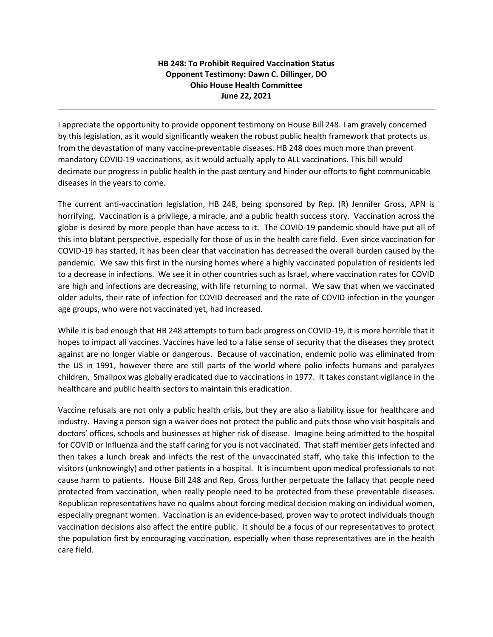## **HB 248: To Prohibit Required Vaccination Status Opponent Testimony: Dawn C. Dillinger, DO Ohio House Health Committee June 22, 2021**

I appreciate the opportunity to provide opponent testimony on House Bill 248. I am gravely concerned by this legislation, as it would significantly weaken the robust public health framework that protects us from the devastation of many vaccine-preventable diseases. HB 248 does much more than prevent mandatory COVID-19 vaccinations, as it would actually apply to ALL vaccinations. This bill would decimate our progress in public health in the past century and hinder our efforts to fight communicable diseases in the years to come.

The current anti-vaccination legislation, HB 248, being sponsored by Rep. (R) Jennifer Gross, APN is horrifying. Vaccination is a privilege, a miracle, and a public health success story. Vaccination across the globe is desired by more people than have access to it. The COVID-19 pandemic should have put all of this into blatant perspective, especially for those of us in the health care field. Even since vaccination for COVID-19 has started, it has been clear that vaccination has decreased the overall burden caused by the pandemic. We saw this first in the nursing homes where a highly vaccinated population of residents led to a decrease in infections. We see it in other countries such as Israel, where vaccination rates for COVID are high and infections are decreasing, with life returning to normal. We saw that when we vaccinated older adults, their rate of infection for COVID decreased and the rate of COVID infection in the younger age groups, who were not vaccinated yet, had increased.

While it is bad enough that HB 248 attempts to turn back progress on COVID-19, it is more horrible that it hopes to impact all vaccines. Vaccines have led to a false sense of security that the diseases they protect against are no longer viable or dangerous. Because of vaccination, endemic polio was eliminated from the US in 1991, however there are still parts of the world where polio infects humans and paralyzes children. Smallpox was globally eradicated due to vaccinations in 1977. It takes constant vigilance in the healthcare and public health sectors to maintain this eradication.

Vaccine refusals are not only a public health crisis, but they are also a liability issue for healthcare and industry. Having a person sign a waiver does not protect the public and puts those who visit hospitals and doctors' offices, schools and businesses at higher risk of disease. Imagine being admitted to the hospital for COVID or Influenza and the staff caring for you is not vaccinated. That staff member gets infected and then takes a lunch break and infects the rest of the unvaccinated staff, who take this infection to the visitors (unknowingly) and other patients in a hospital. It is incumbent upon medical professionals to not cause harm to patients. House Bill 248 and Rep. Gross further perpetuate the fallacy that people need protected from vaccination, when really people need to be protected from these preventable diseases. Republican representatives have no qualms about forcing medical decision making on individual women, especially pregnant women. Vaccination is an evidence-based, proven way to protect individuals though vaccination decisions also affect the entire public. It should be a focus of our representatives to protect the population first by encouraging vaccination, especially when those representatives are in the health care field.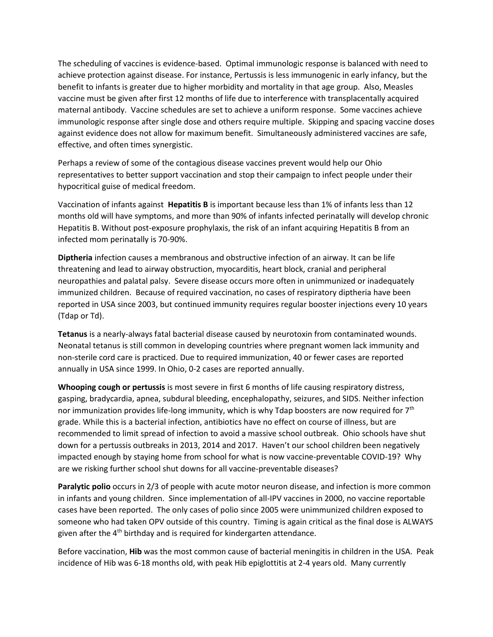The scheduling of vaccines is evidence-based. Optimal immunologic response is balanced with need to achieve protection against disease. For instance, Pertussis is less immunogenic in early infancy, but the benefit to infants is greater due to higher morbidity and mortality in that age group. Also, Measles vaccine must be given after first 12 months of life due to interference with transplacentally acquired maternal antibody. Vaccine schedules are set to achieve a uniform response. Some vaccines achieve immunologic response after single dose and others require multiple. Skipping and spacing vaccine doses against evidence does not allow for maximum benefit. Simultaneously administered vaccines are safe, effective, and often times synergistic.

Perhaps a review of some of the contagious disease vaccines prevent would help our Ohio representatives to better support vaccination and stop their campaign to infect people under their hypocritical guise of medical freedom.

Vaccination of infants against **Hepatitis B** is important because less than 1% of infants less than 12 months old will have symptoms, and more than 90% of infants infected perinatally will develop chronic Hepatitis B. Without post-exposure prophylaxis, the risk of an infant acquiring Hepatitis B from an infected mom perinatally is 70-90%.

**Diptheria** infection causes a membranous and obstructive infection of an airway. It can be life threatening and lead to airway obstruction, myocarditis, heart block, cranial and peripheral neuropathies and palatal palsy. Severe disease occurs more often in unimmunized or inadequately immunized children. Because of required vaccination, no cases of respiratory diptheria have been reported in USA since 2003, but continued immunity requires regular booster injections every 10 years (Tdap or Td).

**Tetanus** is a nearly-always fatal bacterial disease caused by neurotoxin from contaminated wounds. Neonatal tetanus is still common in developing countries where pregnant women lack immunity and non-sterile cord care is practiced. Due to required immunization, 40 or fewer cases are reported annually in USA since 1999. In Ohio, 0-2 cases are reported annually.

**Whooping cough or pertussis** is most severe in first 6 months of life causing respiratory distress, gasping, bradycardia, apnea, subdural bleeding, encephalopathy, seizures, and SIDS. Neither infection nor immunization provides life-long immunity, which is why Tdap boosters are now required for 7<sup>th</sup> grade. While this is a bacterial infection, antibiotics have no effect on course of illness, but are recommended to limit spread of infection to avoid a massive school outbreak. Ohio schools have shut down for a pertussis outbreaks in 2013, 2014 and 2017. Haven't our school children been negatively impacted enough by staying home from school for what is now vaccine-preventable COVID-19? Why are we risking further school shut downs for all vaccine-preventable diseases?

**Paralytic polio** occurs in 2/3 of people with acute motor neuron disease, and infection is more common in infants and young children. Since implementation of all-IPV vaccines in 2000, no vaccine reportable cases have been reported. The only cases of polio since 2005 were unimmunized children exposed to someone who had taken OPV outside of this country. Timing is again critical as the final dose is ALWAYS given after the 4<sup>th</sup> birthday and is required for kindergarten attendance.

Before vaccination, **Hib** was the most common cause of bacterial meningitis in children in the USA. Peak incidence of Hib was 6-18 months old, with peak Hib epiglottitis at 2-4 years old. Many currently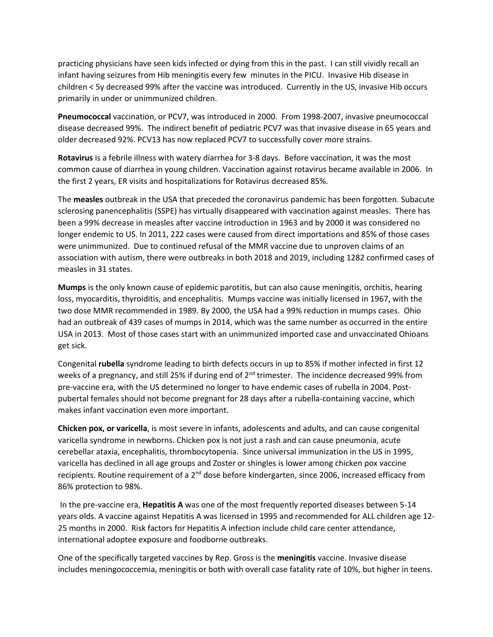practicing physicians have seen kids infected or dying from this in the past. I can still vividly recall an infant having seizures from Hib meningitis every few minutes in the PICU. Invasive Hib disease in children < 5y decreased 99% after the vaccine was introduced. Currently in the US, invasive Hib occurs primarily in under or unimmunized children.

**Pneumococcal** vaccination, or PCV7, was introduced in 2000. From 1998-2007, invasive pneumococcal disease decreased 99%. The indirect benefit of pediatric PCV7 was that invasive disease in 65 years and older decreased 92%. PCV13 has now replaced PCV7 to successfully cover more strains.

**Rotavirus** is a febrile illness with watery diarrhea for 3-8 days. Before vaccination, it was the most common cause of diarrhea in young children. Vaccination against rotavirus became available in 2006. In the first 2 years, ER visits and hospitalizations for Rotavirus decreased 85%.

The **measles** outbreak in the USA that preceded the coronavirus pandemic has been forgotten. Subacute sclerosing panencephalitis (SSPE) has virtually disappeared with vaccination against measles. There has been a 99% decrease in measles after vaccine introduction in 1963 and by 2000 it was considered no longer endemic to US. In 2011, 222 cases were caused from direct importations and 85% of those cases were unimmunized. Due to continued refusal of the MMR vaccine due to unproven claims of an association with autism, there were outbreaks in both 2018 and 2019, including 1282 confirmed cases of measles in 31 states.

**Mumps** is the only known cause of epidemic parotitis, but can also cause meningitis, orchitis, hearing loss, myocarditis, thyroiditis, and encephalitis. Mumps vaccine was initially licensed in 1967, with the two dose MMR recommended in 1989. By 2000, the USA had a 99% reduction in mumps cases. Ohio had an outbreak of 439 cases of mumps in 2014, which was the same number as occurred in the entire USA in 2013. Most of those cases start with an unimmunized imported case and unvaccinated Ohioans get sick.

Congenital **rubella** syndrome leading to birth defects occurs in up to 85% if mother infected in first 12 weeks of a pregnancy, and still 25% if during end of 2<sup>nd</sup> trimester. The incidence decreased 99% from pre-vaccine era, with the US determined no longer to have endemic cases of rubella in 2004. Postpubertal females should not become pregnant for 28 days after a rubella-containing vaccine, which makes infant vaccination even more important.

**Chicken pox, or varicella**, is most severe in infants, adolescents and adults, and can cause congenital varicella syndrome in newborns. Chicken pox is not just a rash and can cause pneumonia, acute cerebellar ataxia, encephalitis, thrombocytopenia. Since universal immunization in the US in 1995, varicella has declined in all age groups and Zoster or shingles is lower among chicken pox vaccine recipients. Routine requirement of a 2<sup>nd</sup> dose before kindergarten, since 2006, increased efficacy from 86% protection to 98%.

In the pre-vaccine era, **Hepatitis A** was one of the most frequently reported diseases between 5-14 years olds. A vaccine against Hepatitis A was licensed in 1995 and recommended for ALL children age 12- 25 months in 2000. Risk factors for Hepatitis A infection include child care center attendance, international adoptee exposure and foodborne outbreaks.

One of the specifically targeted vaccines by Rep. Gross is the **meningitis** vaccine. Invasive disease includes meningococcemia, meningitis or both with overall case fatality rate of 10%, but higher in teens.